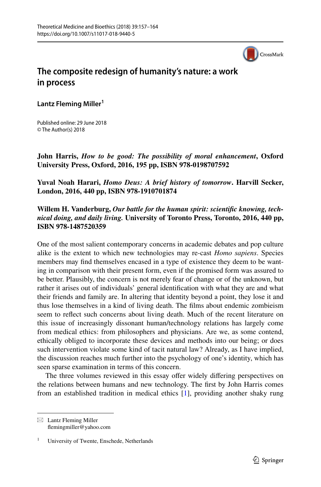

## **The composite redesign of humanity's nature: a work in process**

**Lantz Fleming Miller1**

Published online: 29 June 2018 © The Author(s) 2018

**John Harris,** *How to be good: The possibility of moral enhancement***, Oxford University Press, Oxford, 2016, 195 pp, ISBN 978-0198707592**

**Yuval Noah Harari,** *Homo Deus: A brief history of tomorrow***. Harvill Secker, London, 2016, 440 pp, ISBN 978-1910701874**

## **Willem H. Vanderburg,** *Our battle for the human spirit: scientifc knowing, technical doing, and daily living.* **University of Toronto Press, Toronto, 2016, 440 pp, ISBN 978-1487520359**

One of the most salient contemporary concerns in academic debates and pop culture alike is the extent to which new technologies may re-cast *Homo sapiens*. Species members may fnd themselves encased in a type of existence they deem to be wanting in comparison with their present form, even if the promised form was assured to be better. Plausibly, the concern is not merely fear of change or of the unknown, but rather it arises out of individuals' general identifcation with what they are and what their friends and family are. In altering that identity beyond a point, they lose it and thus lose themselves in a kind of living death. The flms about endemic zombieism seem to refect such concerns about living death. Much of the recent literature on this issue of increasingly dissonant human/technology relations has largely come from medical ethics: from philosophers and physicians. Are we, as some contend, ethically obliged to incorporate these devices and methods into our being; or does such intervention violate some kind of tacit natural law? Already, as I have implied, the discussion reaches much further into the psychology of one's identity, which has seen sparse examination in terms of this concern.

The three volumes reviewed in this essay offer widely differing perspectives on the relations between humans and new technology. The frst by John Harris comes from an established tradition in medical ethics [\[1](#page-7-0)], providing another shaky rung

 $\boxtimes$  Lantz Fleming Miller femingmiller@yahoo.com

<sup>1</sup> University of Twente, Enschede, Netherlands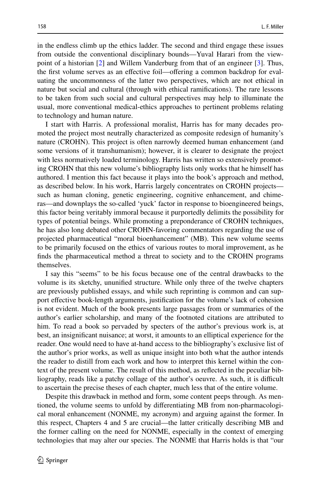in the endless climb up the ethics ladder. The second and third engage these issues from outside the conventional disciplinary bounds—Yuval Harari from the viewpoint of a historian [\[2](#page-7-1)] and Willem Vanderburg from that of an engineer [[3\]](#page-7-2). Thus, the frst volume serves as an efective foil—ofering a common backdrop for evaluating the uncommonness of the latter two perspectives, which are not ethical in nature but social and cultural (through with ethical ramifcations). The rare lessons to be taken from such social and cultural perspectives may help to illuminate the usual, more conventional medical-ethics approaches to pertinent problems relating to technology and human nature.

I start with Harris. A professional moralist, Harris has for many decades promoted the project most neutrally characterized as composite redesign of humanity's nature (CROHN). This project is often narrowly deemed human enhancement (and some versions of it transhumanism); however, it is clearer to designate the project with less normatively loaded terminology. Harris has written so extensively promoting CROHN that this new volume's bibliography lists only works that he himself has authored. I mention this fact because it plays into the book's approach and method, as described below. In his work, Harris largely concentrates on CROHN projects such as human cloning, genetic engineering, cognitive enhancement, and chimeras—and downplays the so-called 'yuck' factor in response to bioengineered beings, this factor being veritably immoral because it purportedly delimits the possibility for types of potential beings. While promoting a preponderance of CROHN techniques, he has also long debated other CROHN-favoring commentators regarding the use of projected pharmaceutical "moral bioenhancement" (MB). This new volume seems to be primarily focused on the ethics of various routes to moral improvement, as he fnds the pharmaceutical method a threat to society and to the CROHN programs themselves.

I say this "seems" to be his focus because one of the central drawbacks to the volume is its sketchy, ununifed structure. While only three of the twelve chapters are previously published essays, and while such reprinting is common and can support efective book-length arguments, justifcation for the volume's lack of cohesion is not evident. Much of the book presents large passages from or summaries of the author's earlier scholarship, and many of the footnoted citations are attributed to him. To read a book so pervaded by specters of the author's previous work is, at best, an insignifcant nuisance; at worst, it amounts to an elliptical experience for the reader. One would need to have at-hand access to the bibliography's exclusive list of the author's prior works, as well as unique insight into both what the author intends the reader to distill from each work and how to interpret this kernel within the context of the present volume. The result of this method, as refected in the peculiar bibliography, reads like a patchy collage of the author's oeuvre. As such, it is difficult to ascertain the precise theses of each chapter, much less that of the entire volume.

Despite this drawback in method and form, some content peeps through. As mentioned, the volume seems to unfold by diferentiating MB from non-pharmacological moral enhancement (NONME, my acronym) and arguing against the former. In this respect, Chapters 4 and 5 are crucial—the latter critically describing MB and the former calling on the need for NONME, especially in the context of emerging technologies that may alter our species. The NONME that Harris holds is that "our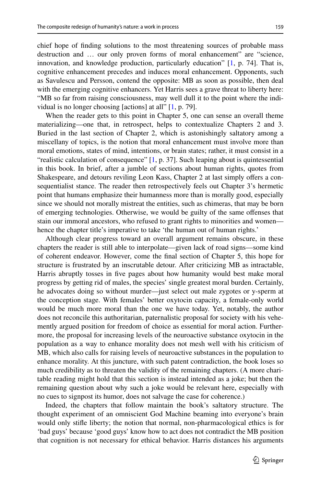chief hope of fnding solutions to the most threatening sources of probable mass destruction and … our only proven forms of moral enhancement" are "science, innovation, and knowledge production, particularly education" [[1,](#page-7-0) p. 74]. That is, cognitive enhancement precedes and induces moral enhancement. Opponents, such as Savulescu and Persson, contend the opposite: MB as soon as possible, then deal with the emerging cognitive enhancers. Yet Harris sees a grave threat to liberty here: "MB so far from raising consciousness, may well dull it to the point where the individual is no longer choosing [actions] at all" [\[1](#page-7-0), p. 79].

When the reader gets to this point in Chapter 5, one can sense an overall theme materializing—one that, in retrospect, helps to contextualize Chapters 2 and 3. Buried in the last section of Chapter 2, which is astonishingly saltatory among a miscellany of topics, is the notion that moral enhancement must involve more than moral emotions, states of mind, intentions, or brain states; rather, it must consist in a "realistic calculation of consequence" [[1,](#page-7-0) p. 37]. Such leaping about is quintessential in this book. In brief, after a jumble of sections about human rights, quotes from Shakespeare, and detours reviling Leon Kass, Chapter 2 at last simply ofers a consequentialist stance. The reader then retrospectively feels out Chapter 3's hermetic point that humans emphasize their humanness more than is morally good, especially since we should not morally mistreat the entities, such as chimeras, that may be born of emerging technologies. Otherwise, we would be guilty of the same ofenses that stain our immoral ancestors, who refused to grant rights to minorities and women hence the chapter title's imperative to take 'the human out of human rights.'

Although clear progress toward an overall argument remains obscure, in these chapters the reader is still able to interpolate—given lack of road signs—some kind of coherent endeavor. However, come the fnal section of Chapter 5, this hope for structure is frustrated by an inscrutable detour. After criticizing MB as intractable, Harris abruptly tosses in fve pages about how humanity would best make moral progress by getting rid of males, the species' single greatest moral burden. Certainly, he advocates doing so without murder—just select out male zygotes or y-sperm at the conception stage. With females' better oxytocin capacity, a female-only world would be much more moral than the one we have today. Yet, notably, the author does not reconcile this authoritarian, paternalistic proposal for society with his vehemently argued position for freedom of choice as essential for moral action. Furthermore, the proposal for increasing levels of the neuroactive substance oxytocin in the population as a way to enhance morality does not mesh well with his criticism of MB, which also calls for raising levels of neuroactive substances in the population to enhance morality. At this juncture, with such patent contradiction, the book loses so much credibility as to threaten the validity of the remaining chapters. (A more charitable reading might hold that this section is instead intended as a joke; but then the remaining question about why such a joke would be relevant here, especially with no cues to signpost its humor, does not salvage the case for coherence.)

Indeed, the chapters that follow maintain the book's saltatory structure. The thought experiment of an omniscient God Machine beaming into everyone's brain would only stife liberty; the notion that normal, non-pharmacological ethics is for 'bad guys' because 'good guys' know how to act does not contradict the MB position that cognition is not necessary for ethical behavior. Harris distances his arguments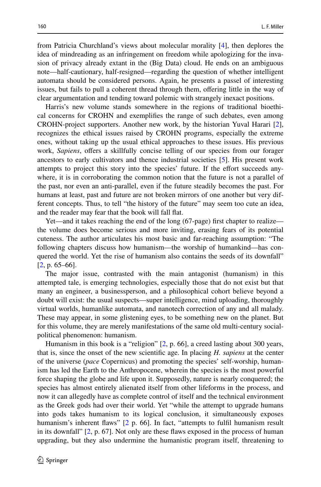from Patricia Churchland's views about molecular morality [[4\]](#page-7-3), then deplores the idea of mindreading as an infringement on freedom while apologizing for the invasion of privacy already extant in the (Big Data) cloud. He ends on an ambiguous note—half-cautionary, half-resigned—regarding the question of whether intelligent automata should be considered persons. Again, he presents a passel of interesting issues, but fails to pull a coherent thread through them, ofering little in the way of clear argumentation and tending toward polemic with strangely inexact positions.

Harris's new volume stands somewhere in the regions of traditional bioethical concerns for CROHN and exemplifes the range of such debates, even among CROHN-project supporters. Another new work, by the historian Yuval Harari [[2\]](#page-7-1), recognizes the ethical issues raised by CROHN programs, especially the extreme ones, without taking up the usual ethical approaches to these issues. His previous work, *Sapiens*, offers a skillfully concise telling of our species from our forager ancestors to early cultivators and thence industrial societies [\[5](#page-7-4)]. His present work attempts to project this story into the species' future. If the efort succeeds anywhere, it is in corroborating the common notion that the future is not a parallel of the past, nor even an anti-parallel, even if the future steadily becomes the past. For humans at least, past and future are not broken mirrors of one another but very different concepts. Thus, to tell "the history of the future" may seem too cute an idea, and the reader may fear that the book will fall fat.

Yet—and it takes reaching the end of the long (67-page) frst chapter to realize the volume does become serious and more inviting, erasing fears of its potential cuteness. The author articulates his most basic and far-reaching assumption: "The following chapters discuss how humanism—the worship of humankind—has conquered the world. Yet the rise of humanism also contains the seeds of its downfall" [\[2](#page-7-1), p. 65–66].

The major issue, contrasted with the main antagonist (humanism) in this attempted tale, is emerging technologies, especially those that do not exist but that many an engineer, a businessperson, and a philosophical cohort believe beyond a doubt will exist: the usual suspects—super intelligence, mind uploading, thoroughly virtual worlds, humanlike automata, and nanotech correction of any and all malady. These may appear, in some glistening eyes, to be something new on the planet. But for this volume, they are merely manifestations of the same old multi-century socialpolitical phenomenon: humanism.

Humanism in this book is a "religion" [\[2](#page-7-1), p. 66], a creed lasting about 300 years, that is, since the onset of the new scientifc age. In placing *H. sapiens* at the center of the universe (*pace* Copernicus) and promoting the species' self-worship, humanism has led the Earth to the Anthropocene, wherein the species is the most powerful force shaping the globe and life upon it. Supposedly, nature is nearly conquered; the species has almost entirely alienated itself from other lifeforms in the process, and now it can allegedly have as complete control of itself and the technical environment as the Greek gods had over their world. Yet "while the attempt to upgrade humans into gods takes humanism to its logical conclusion, it simultaneously exposes humanism's inherent flaws" [[2](#page-7-1) p. 66]. In fact, "attempts to fulfil humanism result in its downfall" [\[2](#page-7-1), p. 67]. Not only are these faws exposed in the process of human upgrading, but they also undermine the humanistic program itself, threatening to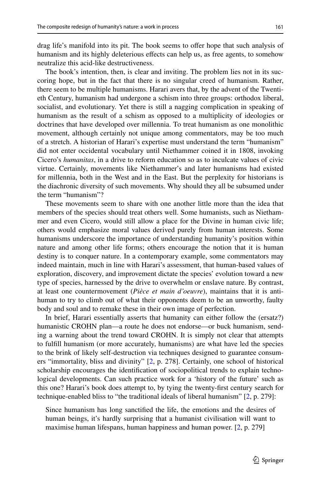drag life's manifold into its pit. The book seems to ofer hope that such analysis of humanism and its highly deleterious efects can help us, as free agents, to somehow neutralize this acid-like destructiveness.

The book's intention, then, is clear and inviting. The problem lies not in its succoring hope, but in the fact that there is no singular creed of humanism. Rather, there seem to be multiple humanisms. Harari avers that, by the advent of the Twentieth Century, humanism had undergone a schism into three groups: orthodox liberal, socialist, and evolutionary. Yet there is still a nagging complication in speaking of humanism as the result of a schism as opposed to a multiplicity of ideologies or doctrines that have developed over millennia. To treat humanism as one monolithic movement, although certainly not unique among commentators, may be too much of a stretch. A historian of Harari's expertise must understand the term "humanism" did not enter occidental vocabulary until Niethammer coined it in 1808, invoking Cicero's *humanitas*, in a drive to reform education so as to inculcate values of civic virtue. Certainly, movements like Niethammer's and later humanisms had existed for millennia, both in the West and in the East. But the perplexity for historians is the diachronic diversity of such movements. Why should they all be subsumed under the term "humanism"?

These movements seem to share with one another little more than the idea that members of the species should treat others well. Some humanists, such as Niethammer and even Cicero, would still allow a place for the Divine in human civic life; others would emphasize moral values derived purely from human interests. Some humanisms underscore the importance of understanding humanity's position within nature and among other life forms; others encourage the notion that it is human destiny is to conquer nature. In a contemporary example, some commentators may indeed maintain, much in line with Harari's assessment, that human-based values of exploration, discovery, and improvement dictate the species' evolution toward a new type of species, harnessed by the drive to overwhelm or enslave nature. By contrast, at least one countermovement (*Pièce et main d'oeuvre*), maintains that it is antihuman to try to climb out of what their opponents deem to be an unworthy, faulty body and soul and to remake these in their own image of perfection.

In brief, Harari essentially asserts that humanity can either follow the (ersatz?) humanistic CROHN plan—a route he does not endorse—or buck humanism, sending a warning about the trend toward CROHN. It is simply not clear that attempts to fulfll humanism (or more accurately, humanisms) are what have led the species to the brink of likely self-destruction via techniques designed to guarantee consumers "immortality, bliss and divinity" [[2,](#page-7-1) p. 278]. Certainly, one school of historical scholarship encourages the identifcation of sociopolitical trends to explain technological developments. Can such practice work for a 'history of the future' such as this one? Harari's book does attempt to, by tying the twenty-frst century search for technique-enabled bliss to "the traditional ideals of liberal humanism" [\[2](#page-7-1), p. 279]:

Since humanism has long sanctifed the life, the emotions and the desires of human beings, it's hardly surprising that a humanist civilisation will want to maximise human lifespans, human happiness and human power. [\[2](#page-7-1), p. 279]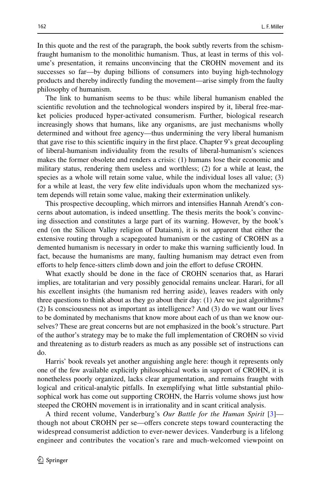In this quote and the rest of the paragraph, the book subtly reverts from the schismfraught humanism to the monolithic humanism. Thus, at least in terms of this volume's presentation, it remains unconvincing that the CROHN movement and its successes so far—by duping billions of consumers into buying high-technology products and thereby indirectly funding the movement—arise simply from the faulty philosophy of humanism.

The link to humanism seems to be thus: while liberal humanism enabled the scientifc revolution and the technological wonders inspired by it, liberal free-market policies produced hyper-activated consumerism. Further, biological research increasingly shows that humans, like any organisms, are just mechanisms wholly determined and without free agency—thus undermining the very liberal humanism that gave rise to this scientifc inquiry in the frst place. Chapter 9's great decoupling of liberal-humanism individuality from the results of liberal-humanism's sciences makes the former obsolete and renders a crisis: (1) humans lose their economic and military status, rendering them useless and worthless; (2) for a while at least, the species as a whole will retain some value, while the individual loses all value; (3) for a while at least, the very few elite individuals upon whom the mechanized system depends will retain some value, making their extermination unlikely.

This prospective decoupling, which mirrors and intensifes Hannah Arendt's concerns about automation, is indeed unsettling. The thesis merits the book's convincing dissection and constitutes a large part of its warning. However, by the book's end (on the Silicon Valley religion of Dataism), it is not apparent that either the extensive routing through a scapegoated humanism or the casting of CROHN as a demented humanism is necessary in order to make this warning sufficiently loud. In fact, because the humanisms are many, faulting humanism may detract even from efforts to help fence-sitters climb down and join the effort to defuse CROHN.

What exactly should be done in the face of CROHN scenarios that, as Harari implies, are totalitarian and very possibly genocidal remains unclear. Harari, for all his excellent insights (the humanism red herring aside), leaves readers with only three questions to think about as they go about their day: (1) Are we just algorithms? (2) Is consciousness not as important as intelligence? And (3) do we want our lives to be dominated by mechanisms that know more about each of us than we know ourselves? These are great concerns but are not emphasized in the book's structure. Part of the author's strategy may be to make the full implementation of CROHN so vivid and threatening as to disturb readers as much as any possible set of instructions can do.

Harris' book reveals yet another anguishing angle here: though it represents only one of the few available explicitly philosophical works in support of CROHN, it is nonetheless poorly organized, lacks clear argumentation, and remains fraught with logical and critical-analytic pitfalls. In exemplifying what little substantial philosophical work has come out supporting CROHN, the Harris volume shows just how steeped the CROHN movement is in irrationality and in scant critical analysis.

A third recent volume, Vanderburg's *Our Battle for the Human Spirit* [[3\]](#page-7-2) though not about CROHN per se—offers concrete steps toward counteracting the widespread consumerist addiction to ever-newer devices. Vanderburg is a lifelong engineer and contributes the vocation's rare and much-welcomed viewpoint on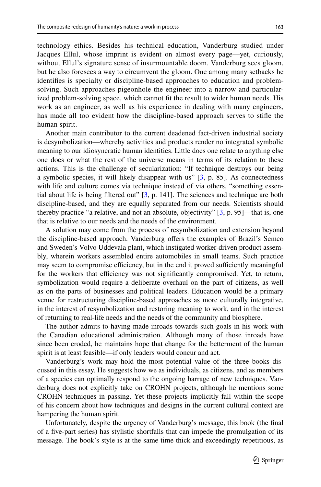technology ethics. Besides his technical education, Vanderburg studied under Jacques Ellul, whose imprint is evident on almost every page—yet, curiously, without Ellul's signature sense of insurmountable doom. Vanderburg sees gloom, but he also foresees a way to circumvent the gloom. One among many setbacks he identifes is specialty or discipline-based approaches to education and problemsolving. Such approaches pigeonhole the engineer into a narrow and particularized problem-solving space, which cannot ft the result to wider human needs. His work as an engineer, as well as his experience in dealing with many engineers, has made all too evident how the discipline-based approach serves to stife the human spirit.

Another main contributor to the current deadened fact-driven industrial society is desymbolization—whereby activities and products render no integrated symbolic meaning to our idiosyncratic human identities. Little does one relate to anything else one does or what the rest of the universe means in terms of its relation to these actions. This is the challenge of secularization: "If technique destroys our being a symbolic species, it will likely disappear with us" [[3,](#page-7-2) p. 85]. As connectedness with life and culture comes via technique instead of via others, "something essential about life is being fltered out" [\[3](#page-7-2), p. 141]. The sciences and technique are both discipline-based, and they are equally separated from our needs. Scientists should thereby practice "a relative, and not an absolute, objectivity" [[3,](#page-7-2) p. 95]—that is, one that is relative to our needs and the needs of the environment.

A solution may come from the process of resymbolization and extension beyond the discipline-based approach. Vanderburg ofers the examples of Brazil's Semco and Sweden's Volvo Uddevala plant, which instigated worker-driven product assembly, wherein workers assembled entire automobiles in small teams. Such practice may seem to compromise efficiency, but in the end it proved sufficiently meaningful for the workers that efficiency was not significantly compromised. Yet, to return, symbolization would require a deliberate overhaul on the part of citizens, as well as on the parts of businesses and political leaders. Education would be a primary venue for restructuring discipline-based approaches as more culturally integrative, in the interest of resymbolization and restoring meaning to work, and in the interest of returning to real-life needs and the needs of the community and biosphere.

The author admits to having made inroads towards such goals in his work with the Canadian educational administration. Although many of those inroads have since been eroded, he maintains hope that change for the betterment of the human spirit is at least feasible—if only leaders would concur and act.

Vanderburg's work may hold the most potential value of the three books discussed in this essay. He suggests how we as individuals, as citizens, and as members of a species can optimally respond to the ongoing barrage of new techniques. Vanderburg does not explicitly take on CROHN projects, although he mentions some CROHN techniques in passing. Yet these projects implicitly fall within the scope of his concern about how techniques and designs in the current cultural context are hampering the human spirit.

Unfortunately, despite the urgency of Vanderburg's message, this book (the fnal of a fve-part series) has stylistic shortfalls that can impede the promulgation of its message. The book's style is at the same time thick and exceedingly repetitious, as